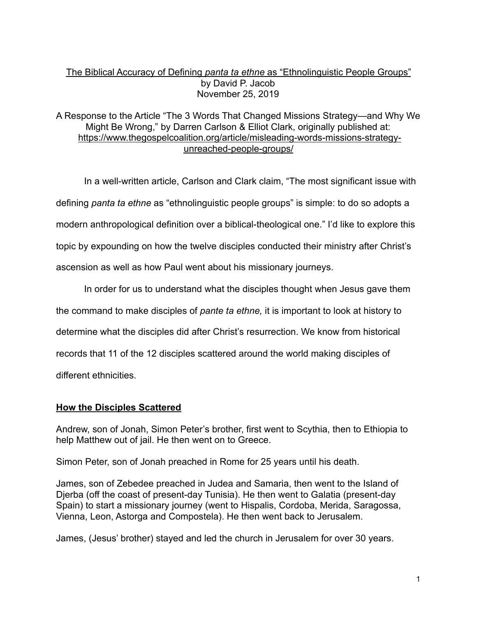# The Biblical Accuracy of Defining *panta ta ethne* as "Ethnolinguistic People Groups" by David P. Jacob November 25, 2019

### A Response to the Article "The 3 Words That Changed Missions Strategy—and Why We Might Be Wrong," by Darren Carlson & Elliot Clark, originally published at: [https://www.thegospelcoalition.org/article/misleading-words-missions-strategy](https://www.thegospelcoalition.org/article/misleading-words-missions-strategy-unreached-people-groups/)[unreached-people-groups/](https://www.thegospelcoalition.org/article/misleading-words-missions-strategy-unreached-people-groups/)

 In a well-written article, Carlson and Clark claim, "The most significant issue with defining *panta ta ethne* as "ethnolinguistic people groups" is simple: to do so adopts a modern anthropological definition over a biblical-theological one." I'd like to explore this topic by expounding on how the twelve disciples conducted their ministry after Christ's ascension as well as how Paul went about his missionary journeys.

 In order for us to understand what the disciples thought when Jesus gave them the command to make disciples of *pante ta ethne,* it is important to look at history to determine what the disciples did after Christ's resurrection. We know from historical records that 11 of the 12 disciples scattered around the world making disciples of different ethnicities.

# **How the Disciples Scattered**

Andrew, son of Jonah, Simon Peter's brother, first went to Scythia, then to Ethiopia to help Matthew out of jail. He then went on to Greece.

Simon Peter, son of Jonah preached in Rome for 25 years until his death.

James, son of Zebedee preached in Judea and Samaria, then went to the Island of Djerba (off the coast of present-day Tunisia). He then went to Galatia (present-day Spain) to start a missionary journey (went to Hispalis, Cordoba, Merida, Saragossa, Vienna, Leon, Astorga and Compostela). He then went back to Jerusalem.

James, (Jesus' brother) stayed and led the church in Jerusalem for over 30 years.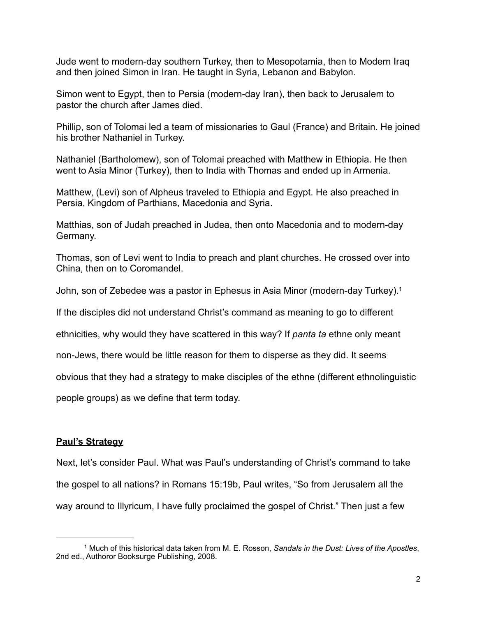Jude went to modern-day southern Turkey, then to Mesopotamia, then to Modern Iraq and then joined Simon in Iran. He taught in Syria, Lebanon and Babylon.

Simon went to Egypt, then to Persia (modern-day Iran), then back to Jerusalem to pastor the church after James died.

Phillip, son of Tolomai led a team of missionaries to Gaul (France) and Britain. He joined his brother Nathaniel in Turkey.

Nathaniel (Bartholomew), son of Tolomai preached with Matthew in Ethiopia. He then went to Asia Minor (Turkey), then to India with Thomas and ended up in Armenia.

Matthew, (Levi) son of Alpheus traveled to Ethiopia and Egypt. He also preached in Persia, Kingdom of Parthians, Macedonia and Syria.

Matthias, son of Judah preached in Judea, then onto Macedonia and to modern-day Germany.

Thomas, son of Levi went to India to preach and plant churches. He crossed over into China, then on to Coromandel.

<span id="page-1-1"></span>John, son of Zebedee was a pastor in Ephesus in Asia Minor (modern-day Turkey)[.1](#page-1-0)

If the disciples did not understand Christ's command as meaning to go to different

ethnicities, why would they have scattered in this way? If *panta ta* ethne only meant

non-Jews, there would be little reason for them to disperse as they did. It seems

obvious that they had a strategy to make disciples of the ethne (different ethnolinguistic

people groups) as we define that term today.

### **Paul's Strategy**

Next, let's consider Paul. What was Paul's understanding of Christ's command to take the gospel to all nations? in Romans 15:19b, Paul writes, "So from Jerusalem all the way around to Illyricum, I have fully proclaimed the gospel of Christ." Then just a few

<span id="page-1-0"></span><sup>&</sup>lt;sup>[1](#page-1-1)</sup> Much of this historical data taken from M. E. Rosson, *Sandals in the Dust: Lives of the Apostles*, 2nd ed., Authoror Booksurge Publishing, 2008.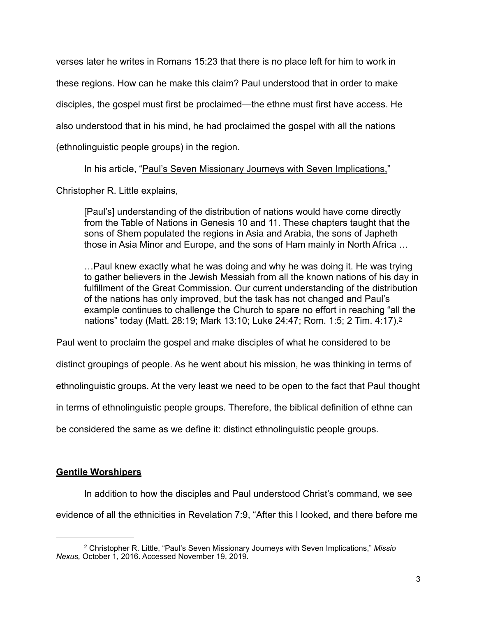verses later he writes in Romans 15:23 that there is no place left for him to work in these regions. How can he make this claim? Paul understood that in order to make disciples, the gospel must first be proclaimed—the ethne must first have access. He also understood that in his mind, he had proclaimed the gospel with all the nations (ethnolinguistic people groups) in the region.

In his article, "[Paul's Seven Missionary Journeys with Seven Implications,](https://missionexus.org/pauls-seven-missionary-journeys-with-seven-implications/)"

Christopher R. Little explains,

[Paul's] understanding of the distribution of nations would have come directly from the Table of Nations in Genesis 10 and 11. These chapters taught that the sons of Shem populated the regions in Asia and Arabia, the sons of Japheth those in Asia Minor and Europe, and the sons of Ham mainly in North Africa …

<span id="page-2-1"></span>…Paul knew exactly what he was doing and why he was doing it. He was trying to gather believers in the Jewish Messiah from all the known nations of his day in fulfillment of the Great Commission. Our current understanding of the distribution of the nations has only improved, but the task has not changed and Paul's example continues to challenge the Church to spare no effort in reaching "all the nations" today (Matt. 28:19; Mark 13:10; Luke 24:47; Rom. 1:5; 2 Tim. 4:17)[.2](#page-2-0)

Paul went to proclaim the gospel and make disciples of what he considered to be

distinct groupings of people. As he went about his mission, he was thinking in terms of

ethnolinguistic groups. At the very least we need to be open to the fact that Paul thought

in terms of ethnolinguistic people groups. Therefore, the biblical definition of ethne can

be considered the same as we define it: distinct ethnolinguistic people groups.

# **Gentile Worshipers**

In addition to how the disciples and Paul understood Christ's command, we see

evidence of all the ethnicities in Revelation 7:9, "After this I looked, and there before me

<span id="page-2-0"></span>Christopher R. Little, "Paul's Seven Missionary Journeys with Seven Implications," *Missio* [2](#page-2-1) *Nexus,* October 1, 2016. Accessed November 19, 2019.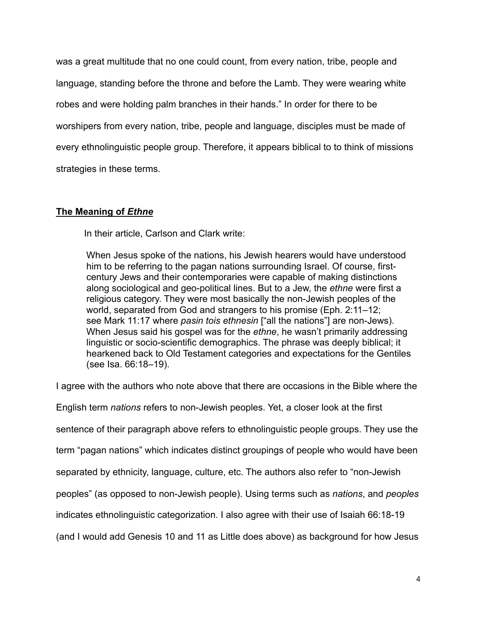was a great multitude that no one could count, from every nation, tribe, people and language, standing before the throne and before the Lamb. They were wearing white robes and were holding palm branches in their hands." In order for there to be worshipers from every nation, tribe, people and language, disciples must be made of every ethnolinguistic people group. Therefore, it appears biblical to to think of missions strategies in these terms.

### **The Meaning of** *Ethne*

In their article, Carlson and Clark write:

When Jesus spoke of the nations, his Jewish hearers would have understood him to be referring to the pagan nations surrounding Israel. Of course, firstcentury Jews and their contemporaries were capable of making distinctions along sociological and geo-political lines. But to a Jew, the *ethne* were first a religious category. They were most basically the non-Jewish peoples of the world, separated from God and strangers to his promise (Eph. 2:11–12; see Mark 11:17 where *pasin tois ethnesin* ["all the nations"] are non-Jews). When Jesus said his gospel was for the *ethne*, he wasn't primarily addressing linguistic or socio-scientific demographics. The phrase was deeply biblical; it hearkened back to Old Testament categories and expectations for the Gentiles (see Isa. 66:18–19).

I agree with the authors who note above that there are occasions in the Bible where the

English term *nations* refers to non-Jewish peoples. Yet, a closer look at the first sentence of their paragraph above refers to ethnolinguistic people groups. They use the term "pagan nations" which indicates distinct groupings of people who would have been separated by ethnicity, language, culture, etc. The authors also refer to "non-Jewish peoples" (as opposed to non-Jewish people). Using terms such as *nations*, and *peoples* indicates ethnolinguistic categorization. I also agree with their use of Isaiah 66:18-19 (and I would add Genesis 10 and 11 as Little does above) as background for how Jesus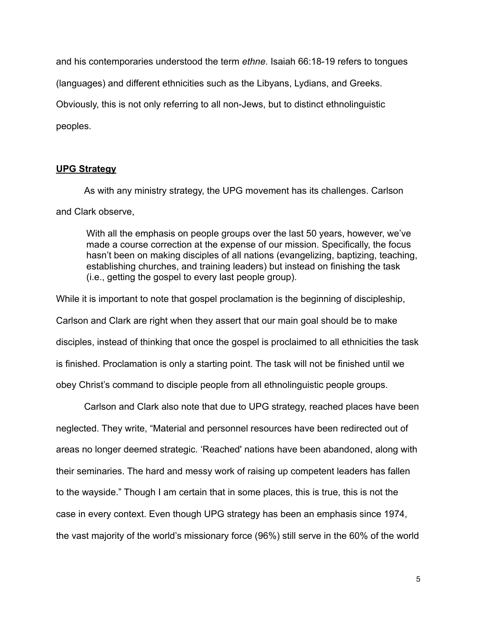and his contemporaries understood the term *ethne.* Isaiah 66:18-19 refers to tongues (languages) and different ethnicities such as the Libyans, Lydians, and Greeks. Obviously, this is not only referring to all non-Jews, but to distinct ethnolinguistic peoples.

#### **UPG Strategy**

 As with any ministry strategy, the UPG movement has its challenges. Carlson and Clark observe,

With all the emphasis on people groups over the last 50 years, however, we've made a course correction at the expense of our mission. Specifically, the focus hasn't been on making disciples of all nations (evangelizing, baptizing, teaching, establishing churches, and training leaders) but instead on finishing the task (i.e., getting the gospel to every last people group).

While it is important to note that gospel proclamation is the beginning of discipleship, Carlson and Clark are right when they assert that our main goal should be to make disciples, instead of thinking that once the gospel is proclaimed to all ethnicities the task is finished. Proclamation is only a starting point. The task will not be finished until we obey Christ's command to disciple people from all ethnolinguistic people groups.

 Carlson and Clark also note that due to UPG strategy, reached places have been neglected. They write, "Material and personnel resources have been redirected out of areas no longer deemed strategic. 'Reached' nations have been abandoned, along with their seminaries. The hard and messy work of raising up competent leaders has fallen to the wayside." Though I am certain that in some places, this is true, this is not the case in every context. Even though UPG strategy has been an emphasis since 1974, the vast majority of the world's missionary force (96%) still serve in the 60% of the world